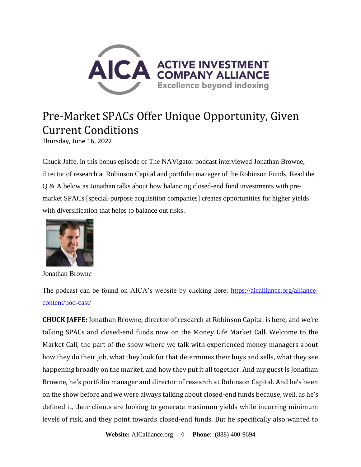

## Pre-Market SPACs Offer Unique Opportunity, Given Current Conditions

Thursday, June 16, 2022

Chuck Jaffe, in this bonus episode of The NAVigator podcast interviewed Jonathan Browne, director of research at Robinson Capital and portfolio manager of the Robinson Funds. Read the Q & A below as Jonathan talks about how balancing closed-end fund investments with premarket SPACs [special-purpose acquisition companies] creates opportunities for higher yields with diversification that helps to balance out risks.



Jonathan Browne

The podcast can be found on AICA's website by clicking here: [https://aicalliance.org/alliance](https://aicalliance.org/alliance-content/pod-cast/)[content/pod-cast/](https://aicalliance.org/alliance-content/pod-cast/)

**CHUCK JAFFE:** Jonathan Browne, director of research at Robinson Capital is here, and we're talking SPACs and closed-end funds now on the Money Life Market Call. Welcome to the Market Call, the part of the show where we talk with experienced money managers about how they do their job, what they look for that determines their buys and sells, what they see happening broadly on the market, and how they put it all together. And my guest is Jonathan Browne, he's portfolio manager and director of research at Robinson Capital. And he's been on the show before and we were always talking about closed-end funds because, well, as he's defined it, their clients are looking to generate maximum yields while incurring minimum levels of risk, and they point towards closed-end funds. But he specifically also wanted to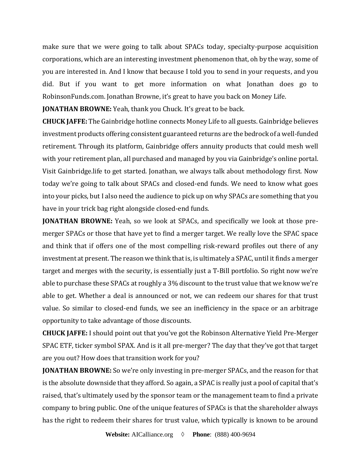make sure that we were going to talk about SPACs today, specialty-purpose acquisition corporations, which are an interesting investment phenomenon that, oh by the way, some of you are interested in. And I know that because I told you to send in your requests, and you did. But if you want to get more information on what Jonathan does go to RobinsonFunds.com. Jonathan Browne, it's great to have you back on Money Life.

**JONATHAN BROWNE:** Yeah, thank you Chuck. It's great to be back.

**CHUCK JAFFE:** The Gainbridge hotline connects Money Life to all guests. Gainbridge believes investment products offering consistent guaranteed returns are the bedrock of a well-funded retirement. Through its platform, Gainbridge offers annuity products that could mesh well with your retirement plan, all purchased and managed by you via Gainbridge's online portal. Visit Gainbridge.life to get started. Jonathan, we always talk about methodology first. Now today we're going to talk about SPACs and closed-end funds. We need to know what goes into your picks, but I also need the audience to pick up on why SPACs are something that you have in your trick bag right alongside closed-end funds.

**JONATHAN BROWNE:** Yeah, so we look at SPACs, and specifically we look at those premerger SPACs or those that have yet to find a merger target. We really love the SPAC space and think that if offers one of the most compelling risk-reward profiles out there of any investment at present. The reason we think that is, is ultimately a SPAC, until it finds a merger target and merges with the security, is essentially just a T-Bill portfolio. So right now we're able to purchase these SPACs at roughly a 3% discount to the trust value that we know we're able to get. Whether a deal is announced or not, we can redeem our shares for that trust value. So similar to closed-end funds, we see an inefficiency in the space or an arbitrage opportunity to take advantage of those discounts.

**CHUCK JAFFE:** I should point out that you've got the Robinson Alternative Yield Pre-Merger SPAC ETF, ticker symbol SPAX. And is it all pre-merger? The day that they've got that target are you out? How does that transition work for you?

**JONATHAN BROWNE:** So we're only investing in pre-merger SPACs, and the reason for that is the absolute downside that they afford. So again, a SPAC is really just a pool of capital that's raised, that's ultimately used by the sponsor team or the management team to find a private company to bring public. One of the unique features of SPACs is that the shareholder always has the right to redeem their shares for trust value, which typically is known to be around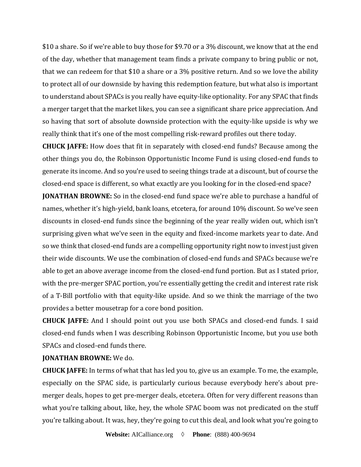\$10 a share. So if we're able to buy those for \$9.70 or a 3% discount, we know that at the end of the day, whether that management team finds a private company to bring public or not, that we can redeem for that \$10 a share or a 3% positive return. And so we love the ability to protect all of our downside by having this redemption feature, but what also is important to understand about SPACs is you really have equity-like optionality. For any SPAC that finds a merger target that the market likes, you can see a significant share price appreciation. And so having that sort of absolute downside protection with the equity-like upside is why we really think that it's one of the most compelling risk-reward profiles out there today.

**CHUCK JAFFE:** How does that fit in separately with closed-end funds? Because among the other things you do, the Robinson Opportunistic Income Fund is using closed-end funds to generate its income. And so you're used to seeing things trade at a discount, but of course the closed-end space is different, so what exactly are you looking for in the closed-end space?

**JONATHAN BROWNE:** So in the closed-end fund space we're able to purchase a handful of names, whether it's high-yield, bank loans, etcetera, for around 10% discount. So we've seen discounts in closed-end funds since the beginning of the year really widen out, which isn't surprising given what we've seen in the equity and fixed-income markets year to date. And so we think that closed-end funds are a compelling opportunity right now to invest just given their wide discounts. We use the combination of closed-end funds and SPACs because we're able to get an above average income from the closed-end fund portion. But as I stated prior, with the pre-merger SPAC portion, you're essentially getting the credit and interest rate risk of a T-Bill portfolio with that equity-like upside. And so we think the marriage of the two provides a better mousetrap for a core bond position.

**CHUCK JAFFE:** And I should point out you use both SPACs and closed-end funds. I said closed-end funds when I was describing Robinson Opportunistic Income, but you use both SPACs and closed-end funds there.

## **JONATHAN BROWNE:** We do.

**CHUCK JAFFE:** In terms of what that has led you to, give us an example. To me, the example, especially on the SPAC side, is particularly curious because everybody here's about premerger deals, hopes to get pre-merger deals, etcetera. Often for very different reasons than what you're talking about, like, hey, the whole SPAC boom was not predicated on the stuff you're talking about. It was, hey, they're going to cut this deal, and look what you're going to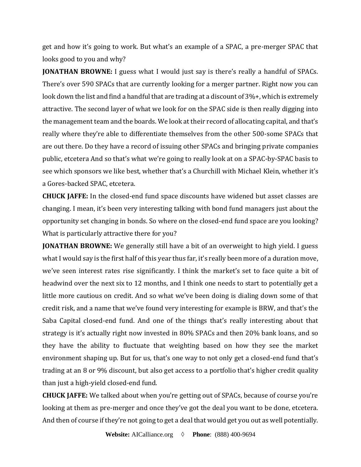get and how it's going to work. But what's an example of a SPAC, a pre-merger SPAC that looks good to you and why?

**JONATHAN BROWNE:** I guess what I would just say is there's really a handful of SPACs. There's over 590 SPACs that are currently looking for a merger partner. Right now you can look down the list and find a handful that are trading at a discount of 3%+, which is extremely attractive. The second layer of what we look for on the SPAC side is then really digging into the management team and the boards. We look at their record of allocating capital, and that's really where they're able to differentiate themselves from the other 500-some SPACs that are out there. Do they have a record of issuing other SPACs and bringing private companies public, etcetera And so that's what we're going to really look at on a SPAC-by-SPAC basis to see which sponsors we like best, whether that's a Churchill with Michael Klein, whether it's a Gores-backed SPAC, etcetera.

**CHUCK JAFFE:** In the closed-end fund space discounts have widened but asset classes are changing. I mean, it's been very interesting talking with bond fund managers just about the opportunity set changing in bonds. So where on the closed-end fund space are you looking? What is particularly attractive there for you?

**JONATHAN BROWNE:** We generally still have a bit of an overweight to high yield. I guess what I would say is the first half of this year thus far, it's really been more of a duration move, we've seen interest rates rise significantly. I think the market's set to face quite a bit of headwind over the next six to 12 months, and I think one needs to start to potentially get a little more cautious on credit. And so what we've been doing is dialing down some of that credit risk, and a name that we've found very interesting for example is BRW, and that's the Saba Capital closed-end fund. And one of the things that's really interesting about that strategy is it's actually right now invested in 80% SPACs and then 20% bank loans, and so they have the ability to fluctuate that weighting based on how they see the market environment shaping up. But for us, that's one way to not only get a closed-end fund that's trading at an 8 or 9% discount, but also get access to a portfolio that's higher credit quality than just a high-yield closed-end fund.

**CHUCK JAFFE:** We talked about when you're getting out of SPACs, because of course you're looking at them as pre-merger and once they've got the deal you want to be done, etcetera. And then of course if they're not going to get a deal that would get you out as well potentially.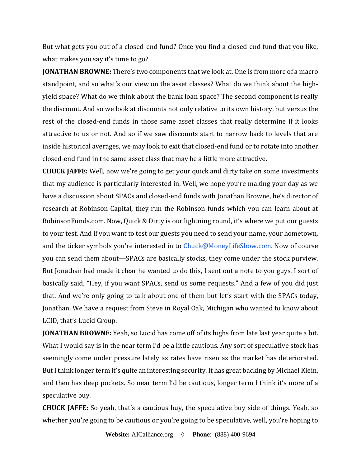But what gets you out of a closed-end fund? Once you find a closed-end fund that you like, what makes you say it's time to go?

**JONATHAN BROWNE:** There's two components that we look at. One is from more of a macro standpoint, and so what's our view on the asset classes? What do we think about the highyield space? What do we think about the bank loan space? The second component is really the discount. And so we look at discounts not only relative to its own history, but versus the rest of the closed-end funds in those same asset classes that really determine if it looks attractive to us or not. And so if we saw discounts start to narrow back to levels that are inside historical averages, we may look to exit that closed-end fund or to rotate into another closed-end fund in the same asset class that may be a little more attractive.

**CHUCK JAFFE:** Well, now we're going to get your quick and dirty take on some investments that my audience is particularly interested in. Well, we hope you're making your day as we have a discussion about SPACs and closed-end funds with Jonathan Browne, he's director of research at Robinson Capital, they run the Robinson funds which you can learn about at RobinsonFunds.com. Now, Quick & Dirty is our lightning round, it's where we put our guests to your test. And if you want to test our guests you need to send your name, your hometown, and the ticker symbols you're interested in to **[Chuck@MoneyLifeShow.com.](mailto:Chuck@MoneyLifeShow.com)** Now of course you can send them about—SPACs are basically stocks, they come under the stock purview. But Jonathan had made it clear he wanted to do this, I sent out a note to you guys. I sort of basically said, "Hey, if you want SPACs, send us some requests." And a few of you did just that. And we're only going to talk about one of them but let's start with the SPACs today, Jonathan. We have a request from Steve in Royal Oak, Michigan who wanted to know about LCID, that's Lucid Group.

**JONATHAN BROWNE:** Yeah, so Lucid has come off of its highs from late last year quite a bit. What I would say is in the near term I'd be a little cautious. Any sort of speculative stock has seemingly come under pressure lately as rates have risen as the market has deteriorated. But I think longer term it's quite an interesting security. It has great backing by Michael Klein, and then has deep pockets. So near term I'd be cautious, longer term I think it's more of a speculative buy.

**CHUCK JAFFE:** So yeah, that's a cautious buy, the speculative buy side of things. Yeah, so whether you're going to be cautious or you're going to be speculative, well, you're hoping to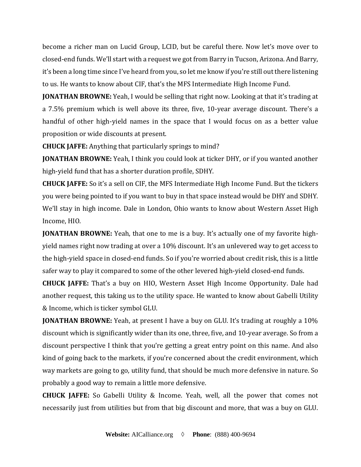become a richer man on Lucid Group, LCID, but be careful there. Now let's move over to closed-end funds. We'll start with a request we got from Barry in Tucson, Arizona. And Barry, it's been a long time since I've heard from you, so let me know if you're still out there listening to us. He wants to know about CIF, that's the MFS Intermediate High Income Fund.

**JONATHAN BROWNE:** Yeah, I would be selling that right now. Looking at that it's trading at a 7.5% premium which is well above its three, five, 10-year average discount. There's a handful of other high-yield names in the space that I would focus on as a better value proposition or wide discounts at present.

**CHUCK JAFFE:** Anything that particularly springs to mind?

**JONATHAN BROWNE:** Yeah, I think you could look at ticker DHY, or if you wanted another high-yield fund that has a shorter duration profile, SDHY.

**CHUCK JAFFE:** So it's a sell on CIF, the MFS Intermediate High Income Fund. But the tickers you were being pointed to if you want to buy in that space instead would be DHY and SDHY. We'll stay in high income. Dale in London, Ohio wants to know about Western Asset High Income, HIO.

**JONATHAN BROWNE:** Yeah, that one to me is a buy. It's actually one of my favorite highyield names right now trading at over a 10% discount. It's an unlevered way to get access to the high-yield space in closed-end funds. So if you're worried about credit risk, this is a little safer way to play it compared to some of the other levered high-yield closed-end funds.

**CHUCK JAFFE:** That's a buy on HIO, Western Asset High Income Opportunity. Dale had another request, this taking us to the utility space. He wanted to know about Gabelli Utility & Income, which is ticker symbol GLU.

**JONATHAN BROWNE:** Yeah, at present I have a buy on GLU. It's trading at roughly a 10% discount which is significantly wider than its one, three, five, and 10-year average. So from a discount perspective I think that you're getting a great entry point on this name. And also kind of going back to the markets, if you're concerned about the credit environment, which way markets are going to go, utility fund, that should be much more defensive in nature. So probably a good way to remain a little more defensive.

**CHUCK JAFFE:** So Gabelli Utility & Income. Yeah, well, all the power that comes not necessarily just from utilities but from that big discount and more, that was a buy on GLU.